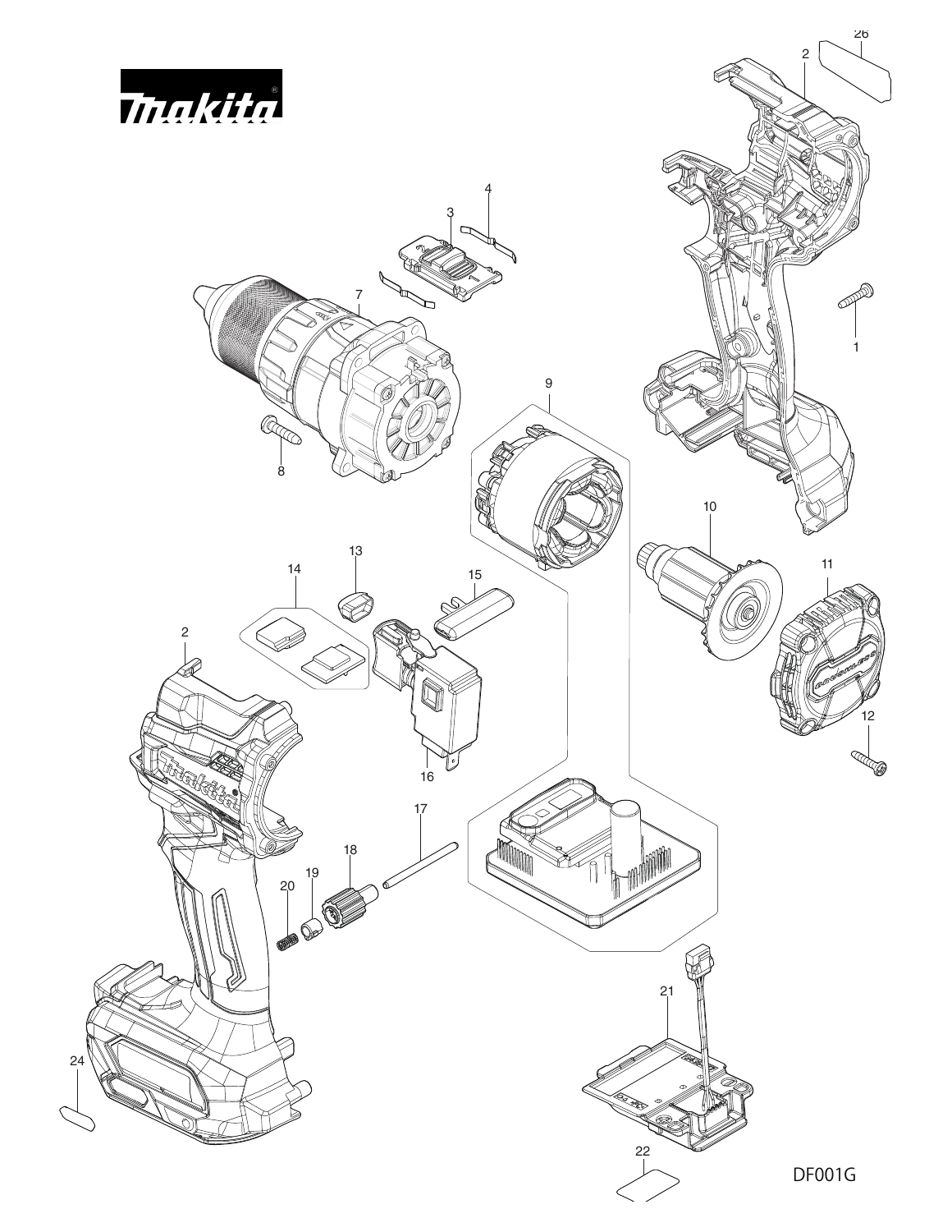